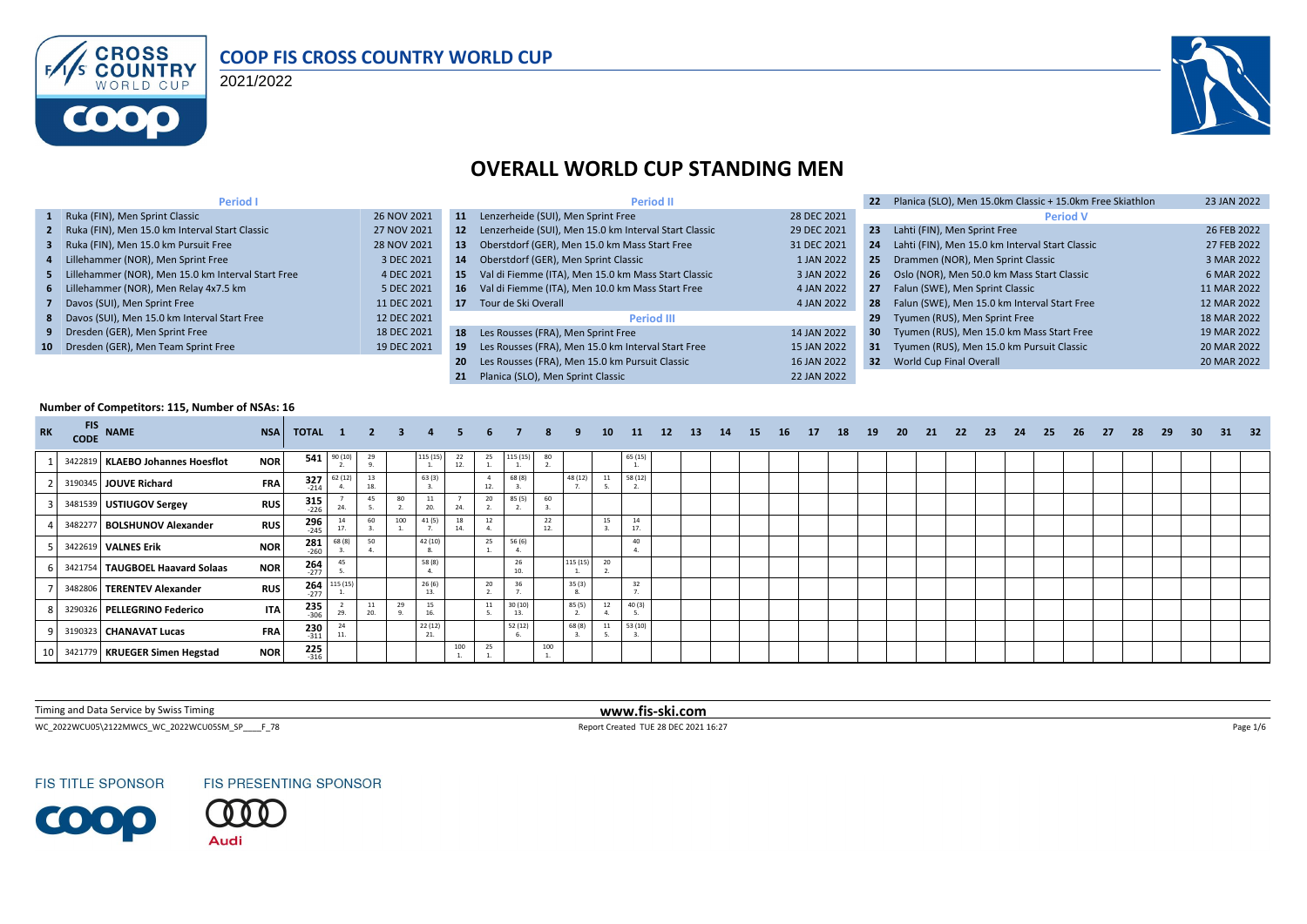

#### **COOP FIS CROSS COUNTRY WORLD CUP**

2021/2022



## **OVERALL WORLD CUP STANDING MEN**

| Period I                                             |             |     | <b>Period II</b>                                         |             | 22              | Planica (SLO), Men 15.0km Classic + 15.0km Free Skiathlon | 23 JAN 2022 |
|------------------------------------------------------|-------------|-----|----------------------------------------------------------|-------------|-----------------|-----------------------------------------------------------|-------------|
| 1 Ruka (FIN), Men Sprint Classic                     | 26 NOV 2021 | 11  | Lenzerheide (SUI), Men Sprint Free                       | 28 DEC 2021 |                 | <b>Period V</b>                                           |             |
| 2 Ruka (FIN), Men 15.0 km Interval Start Classic     | 27 NOV 2021 |     | 12 Lenzerheide (SUI), Men 15.0 km Interval Start Classic | 29 DEC 2021 | 23              | Lahti (FIN), Men Sprint Free                              | 26 FEB 2022 |
| 3 Ruka (FIN), Men 15.0 km Pursuit Free               | 28 NOV 2021 | 13  | Oberstdorf (GER), Men 15.0 km Mass Start Free            | 31 DEC 2021 | 24              | Lahti (FIN), Men 15.0 km Interval Start Classic           | 27 FEB 2022 |
| 4 Lillehammer (NOR), Men Sprint Free                 | 3 DEC 2021  | 14  | Oberstdorf (GER), Men Sprint Classic                     | 1 JAN 2022  |                 | 25 Drammen (NOR), Men Sprint Classic                      | 3 MAR 2022  |
| 5 Lillehammer (NOR), Men 15.0 km Interval Start Free | 4 DEC 2021  | 15  | Val di Fiemme (ITA), Men 15.0 km Mass Start Classic      | 3 JAN 2022  |                 | 26 Oslo (NOR), Men 50.0 km Mass Start Classic             | 6 MAR 2022  |
| 6 Lillehammer (NOR), Men Relay 4x7.5 km              | 5 DEC 2021  | 16  | Val di Fiemme (ITA), Men 10.0 km Mass Start Free         | 4 JAN 2022  |                 | 27 Falun (SWE), Men Sprint Classic                        | 11 MAR 2022 |
| 7 Davos (SUI), Men Sprint Free                       | 11 DEC 2021 |     | 17 Tour de Ski Overall                                   | 4 JAN 2022  |                 | 28 Falun (SWE), Men 15.0 km Interval Start Free           | 12 MAR 2022 |
| 8 Davos (SUI), Men 15.0 km Interval Start Free       | 12 DEC 2021 |     | <b>Period III</b>                                        |             | 29              | Tyumen (RUS), Men Sprint Free                             | 18 MAR 2022 |
| 9 Dresden (GER), Men Sprint Free                     | 18 DEC 2021 |     | 18 Les Rousses (FRA), Men Sprint Free                    | 14 JAN 2022 | 30 <sub>1</sub> | Tyumen (RUS), Men 15.0 km Mass Start Free                 | 19 MAR 2022 |
| 10 Dresden (GER), Men Team Sprint Free               | 19 DEC 2021 | 19  | Les Rousses (FRA), Men 15.0 km Interval Start Free       | 15 JAN 2022 |                 | 31 Tyumen (RUS), Men 15.0 km Pursuit Classic              | 20 MAR 2022 |
|                                                      |             | -20 | Les Rousses (FRA), Men 15.0 km Pursuit Classic           | 16 JAN 2022 |                 | 32 World Cup Final Overall                                | 20 MAR 2022 |
|                                                      |             | 21  | Planica (SLO). Men Sprint Classic                        | 22 JAN 2022 |                 |                                                           |             |

#### **Number of Competitors: 115, Number of NSAs: 16**

| <b>RK</b> | <b>FIS</b><br><b>CODE</b> | <b>NAME</b>                        | <b>NSA</b> | TOTAL 1               |                | $\overline{\mathbf{2}}$ | $\mathbf{3}$ |               |          | 6.  |               |          |          | 10 | <b>11</b>            | 12 | <b>13</b> | 14 | <b>15</b> | 16 | 17 | 18 | 19 | -20 | 21 | -22 | -23 | 24 | 25 | 26 | -27 | 28 | 29 | 30 | 31 | - 32 |
|-----------|---------------------------|------------------------------------|------------|-----------------------|----------------|-------------------------|--------------|---------------|----------|-----|---------------|----------|----------|----|----------------------|----|-----------|----|-----------|----|----|----|----|-----|----|-----|-----|----|----|----|-----|----|----|----|----|------|
|           |                           | 3422819   KLAEBO Johannes Hoesflot | <b>NOR</b> |                       | $541$ $90(10)$ | 29                      |              | 115 (15)      | 22<br>12 | 25  | 115 (15)      | 80       |          |    | 65 (15)              |    |           |    |           |    |    |    |    |     |    |     |     |    |    |    |     |    |    |    |    |      |
|           |                           | 3190345 JOUVE Richard              | <b>FRA</b> | $327$<br>$214$        | 62 (12         | 13<br>18.               |              | 63(3)         |          | 12. | 68 (8)        |          | 48 (12)  |    | 58 (12)<br><b>L.</b> |    |           |    |           |    |    |    |    |     |    |     |     |    |    |    |     |    |    |    |    |      |
|           |                           | 3481539 USTIUGOV Sergey            | <b>RUS</b> | $315$ <sub>226</sub>  | 24.            | 45                      | 80           | 11<br>20.     | 24       | 20  | 85 (5)<br>z.  | 60       |          |    |                      |    |           |    |           |    |    |    |    |     |    |     |     |    |    |    |     |    |    |    |    |      |
|           | 348227                    | <b>BOLSHUNOV Alexander</b>         | <b>RUS</b> | $296$<br>$-245$       | 17.            | 60                      | 100          | 41 (5)        | 18       | 12  |               | 22<br>12 |          | 15 | 14<br>17.            |    |           |    |           |    |    |    |    |     |    |     |     |    |    |    |     |    |    |    |    |      |
|           |                           | 3422619 VALNES Erik                | <b>NOR</b> | $\frac{281}{260}$     | 68 (8)         | 50                      |              | 42 (10)       |          | 25  | 56 (6)        |          |          |    | 40                   |    |           |    |           |    |    |    |    |     |    |     |     |    |    |    |     |    |    |    |    |      |
|           | 3421754                   | TAUGBOEL Haavard Solaas            | <b>NOR</b> | $264$ <sub>-277</sub> | 45             |                         |              | 58 (8)        |          |     | 26<br>10.     |          | 115 (15) | 20 |                      |    |           |    |           |    |    |    |    |     |    |     |     |    |    |    |     |    |    |    |    |      |
|           |                           | 3482806 TERENTEV Alexander         | <b>RUS</b> | 264<br>$-277$         | 115 (15)       |                         |              | 26(6)<br>13.  |          | 20  | 36            |          | 35(3)    |    | 32                   |    |           |    |           |    |    |    |    |     |    |     |     |    |    |    |     |    |    |    |    |      |
|           |                           | 3290326 PELLEGRINO Federico        | <b>ITA</b> | $235$<br>$-306$       | 29.            | 11<br>20.               | 29           | 15<br>16.     |          | -44 | 30(10)<br>13. |          | 85 (5)   | 12 | 40(3)                |    |           |    |           |    |    |    |    |     |    |     |     |    |    |    |     |    |    |    |    |      |
|           |                           | 3190323 CHANAVAT Lucas             | <b>FRA</b> | $230$<br>$-311$       | 24<br>11.      |                         |              | 22(12)<br>21. |          |     | 52(12)        |          | 68(8)    | 11 | 53 (10)              |    |           |    |           |    |    |    |    |     |    |     |     |    |    |    |     |    |    |    |    |      |
|           |                           | 3421779 KRUEGER Simen Hegstad      | <b>NOR</b> | $225$<br>$316$        |                |                         |              |               | 100      | 25  |               | 100      |          |    |                      |    |           |    |           |    |    |    |    |     |    |     |     |    |    |    |     |    |    |    |    |      |

Timing and Data Service by Swiss Timing **www.fis-ski.com**

WC\_2022WCU05\2122MWCS\_WC\_2022WCU05SM\_SP\_\_\_\_F\_78 Page 1/6 Report Created TUE 28 DEC 2021 16:27 Page 1/6

**FIS TITLE SPONSOR** 

**COOP** 



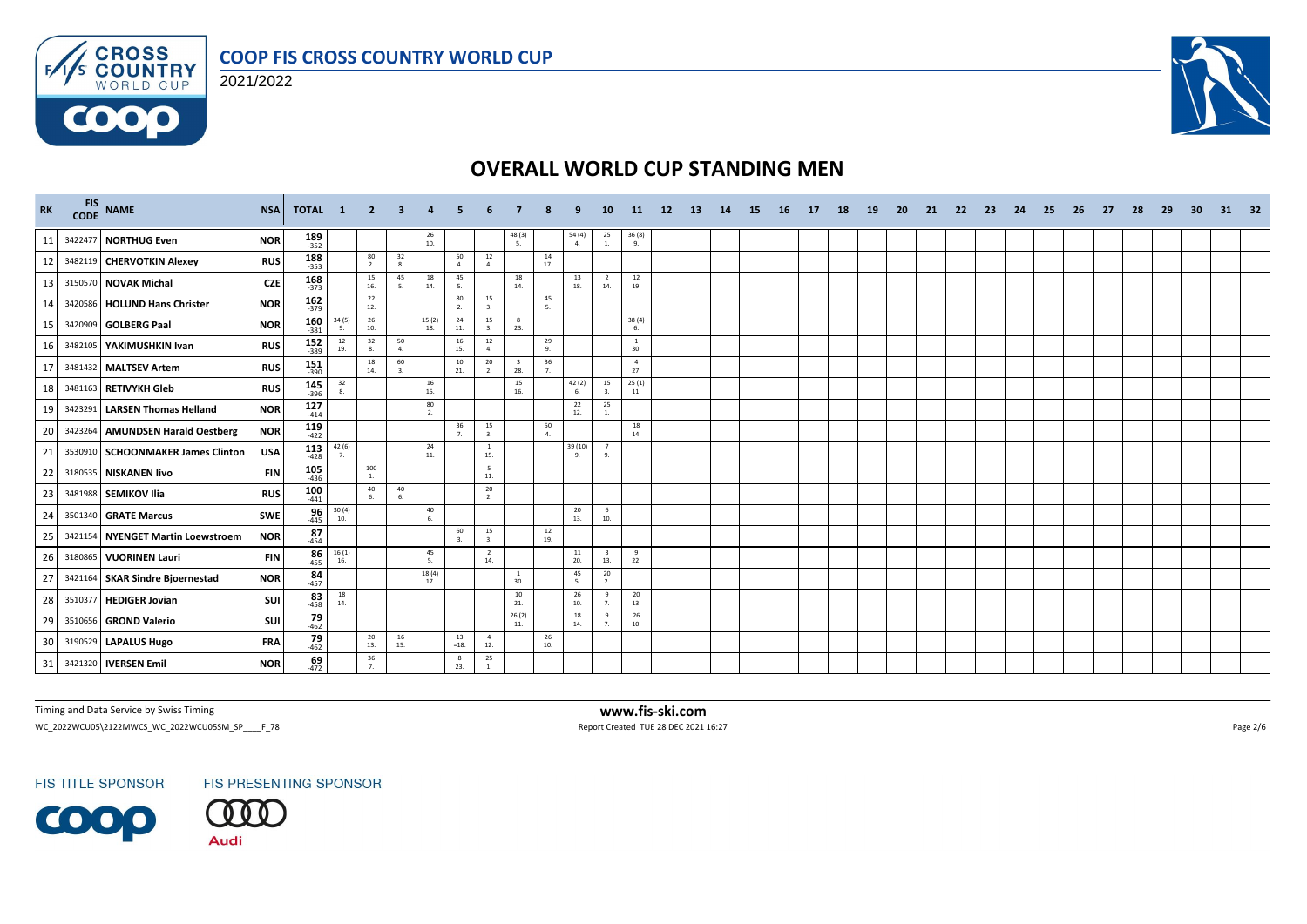



 $F/1/s$ 

**COOO** 



# **OVERALL WORLD CUP STANDING MEN**

| <b>RK</b> | CODE    | FIS NAME                          | <b>NSA</b> | TOTAL 1              |                                          | $\overline{2}$       | 3                    |                                          |                      |                       |                                |                                         |                         | <b>10</b>                      | -11-                                     | 12 | <b>13</b> | 14 | -15 | - 16 | 17 | 18 | <b>19</b> | <b>20</b> | 21 | 22 | 23 | 24 | 25 | -26 | 27 | 28 | 29 | -30 | 31 | 32 |
|-----------|---------|-----------------------------------|------------|----------------------|------------------------------------------|----------------------|----------------------|------------------------------------------|----------------------|-----------------------|--------------------------------|-----------------------------------------|-------------------------|--------------------------------|------------------------------------------|----|-----------|----|-----|------|----|----|-----------|-----------|----|----|----|----|----|-----|----|----|----|-----|----|----|
| 11        |         | 3422477 NORTHUG Even              | <b>NOR</b> | $189$ 352            |                                          |                      |                      | $\begin{array}{c} 26 \\ 10. \end{array}$ |                      |                       | $\frac{48(3)}{5}$              |                                         | $\frac{54(4)}{4}$       | 25<br><b>1.</b>                | $\frac{36(8)}{9}$                        |    |           |    |     |      |    |    |           |           |    |    |    |    |    |     |    |    |    |     |    |    |
| 12        |         | 3482119 CHERVOTKIN Alexey         | <b>RUS</b> | $188$<br>$-353$      |                                          | 80<br>2.             | 32<br>8.             |                                          | 50<br>$\Delta$       | 12<br>4.              |                                | 14<br>17.                               |                         |                                |                                          |    |           |    |     |      |    |    |           |           |    |    |    |    |    |     |    |    |    |     |    |    |
| 13        |         | 3150570 NOVAK Michal              | <b>CZE</b> | $168$ <sub>373</sub> |                                          | 15<br>16.            | 45<br>5.             | 18<br>14.                                | 45<br>-5.            |                       | 18<br>14.                      |                                         | 13<br>18.               | $\overline{2}$<br>14.          | 12<br>19.                                |    |           |    |     |      |    |    |           |           |    |    |    |    |    |     |    |    |    |     |    |    |
| 14        |         | 3420586 HOLUND Hans Christer      | <b>NOR</b> | $162$ <sub>379</sub> |                                          | 22<br>12.            |                      |                                          | 80<br>$\overline{2}$ | 15<br>3.              |                                | 45<br>5.                                |                         |                                |                                          |    |           |    |     |      |    |    |           |           |    |    |    |    |    |     |    |    |    |     |    |    |
| 15        |         | 3420909 GOLBERG Paal              | <b>NOR</b> | $160$<br>-381        | 34(5)<br>9.                              | 26<br>10.            |                      | 15(2)<br>18.                             | 24<br>11.            | 15<br>3.              | $\mathbf{R}$<br>23.            |                                         |                         |                                | 38 (4)<br>6.                             |    |           |    |     |      |    |    |           |           |    |    |    |    |    |     |    |    |    |     |    |    |
| 16        |         | 3482105   YAKIMUSHKIN Ivan        | <b>RUS</b> | 152<br>$-389$        | 12<br>19.                                | 32<br>8.             | 50<br>4.             |                                          | 16<br>15.            | $12\,$<br>$\Delta$    |                                | 29<br>9.                                |                         |                                | <sup>1</sup><br>30.                      |    |           |    |     |      |    |    |           |           |    |    |    |    |    |     |    |    |    |     |    |    |
| 17        |         | 3481432 MALTSEV Artem             | <b>RUS</b> | 151<br>$-390$        |                                          | 18<br>14.            | 60<br>$\overline{3}$ |                                          | 10<br>21.            | 20<br>2.              | $\overline{\mathbf{3}}$<br>28. | $\frac{36}{7}$                          |                         |                                | $\overline{4}$<br>27.                    |    |           |    |     |      |    |    |           |           |    |    |    |    |    |     |    |    |    |     |    |    |
| 18        |         | 3481163 RETIVYKH Gleb             | <b>RUS</b> | $145$ <sub>396</sub> | 32<br>8.                                 |                      |                      | 16<br>15.                                |                      |                       | 15<br>16.                      |                                         | 42(2)<br>6.             | 15<br>3.                       | 25(1)<br>11.                             |    |           |    |     |      |    |    |           |           |    |    |    |    |    |     |    |    |    |     |    |    |
| 19        |         | 3423291 LARSEN Thomas Helland     | <b>NOR</b> | $127$<br>$414$       |                                          |                      |                      | 80<br>2.                                 |                      |                       |                                |                                         | 22<br>12.               | 25<br>$\overline{1}$           |                                          |    |           |    |     |      |    |    |           |           |    |    |    |    |    |     |    |    |    |     |    |    |
| 20        |         | 3423264 AMUNDSEN Harald Oestberg  | <b>NOR</b> | $119$<br>-422        |                                          |                      |                      |                                          | 36<br>$\overline{7}$ | 15<br>3.              |                                | $\begin{array}{c} 50 \\ 4. \end{array}$ |                         |                                | 18<br>14.                                |    |           |    |     |      |    |    |           |           |    |    |    |    |    |     |    |    |    |     |    |    |
| 21        |         | 3530910 SCHOONMAKER James Clinton | <b>USA</b> | 113<br>$-428$        | $42(6)$<br>7.                            |                      |                      | 24<br>11.                                |                      | $\mathbf{1}$<br>15.   |                                |                                         | 39 (10)<br>$\mathbf{q}$ | $\overline{7}$<br>9.           |                                          |    |           |    |     |      |    |    |           |           |    |    |    |    |    |     |    |    |    |     |    |    |
| 22        |         | 3180535 NISKANEN livo             | <b>FIN</b> | $105$<br>$436$       |                                          | 100<br><b>1.</b>     |                      |                                          |                      | - 5<br>11.            |                                |                                         |                         |                                |                                          |    |           |    |     |      |    |    |           |           |    |    |    |    |    |     |    |    |    |     |    |    |
| 23        |         | 3481988 SEMIKOV Ilia              | <b>RUS</b> | $100$<br>-441        |                                          | 40<br>6.             | 40<br>6.             |                                          |                      | 20<br>2.              |                                |                                         |                         |                                |                                          |    |           |    |     |      |    |    |           |           |    |    |    |    |    |     |    |    |    |     |    |    |
| 24        |         | 3501340 GRATE Marcus              | SWE        | $\frac{96}{445}$     | $\frac{30(4)}{10}$                       |                      |                      | 40<br>6.                                 |                      |                       |                                |                                         | 20<br>13.               | 6<br>10.                       |                                          |    |           |    |     |      |    |    |           |           |    |    |    |    |    |     |    |    |    |     |    |    |
| 25        |         | 3421154 NYENGET Martin Loewstroem | <b>NOR</b> | 87<br>$-454$         |                                          |                      |                      |                                          | 60<br>$\mathbf{3}$   | 15<br>$\mathbf{3}$    |                                | $\frac{12}{19}$                         |                         |                                |                                          |    |           |    |     |      |    |    |           |           |    |    |    |    |    |     |    |    |    |     |    |    |
| 26        |         | 3180865 VUORINEN Lauri            | <b>FIN</b> | $86$<br>-455         | 16(1)<br>16.                             |                      |                      | 45<br>5.                                 |                      | $\overline{2}$<br>14. |                                |                                         | 11<br>20.               | $\overline{\mathbf{3}}$<br>13. | 9<br>22.                                 |    |           |    |     |      |    |    |           |           |    |    |    |    |    |     |    |    |    |     |    |    |
| 27        |         | 3421164 SKAR Sindre Bioernestad   | <b>NOR</b> | $84 \over 457$       |                                          |                      |                      | 18(4)<br>17.                             |                      |                       | $\mathbf{1}$<br>30.            |                                         | 45<br>5.                | 20<br>2.                       |                                          |    |           |    |     |      |    |    |           |           |    |    |    |    |    |     |    |    |    |     |    |    |
| 28        | 3510377 | <b>HEDIGER Jovian</b>             | SUI        | $83$ <sub>-458</sub> | $\begin{array}{c} 18 \\ 14. \end{array}$ |                      |                      |                                          |                      |                       | 10<br>21.                      |                                         | 26<br>10.               | 9<br>7 <sup>2</sup>            | $\begin{array}{c} 20 \\ 13. \end{array}$ |    |           |    |     |      |    |    |           |           |    |    |    |    |    |     |    |    |    |     |    |    |
| 29        |         | 3510656 GROND Valerio             | SUI        | $79 \atop 462$       |                                          |                      |                      |                                          |                      |                       | 26(2)<br>11.                   |                                         | 18<br>14.               | 9<br>$\overline{7}$            | 26<br>10.                                |    |           |    |     |      |    |    |           |           |    |    |    |    |    |     |    |    |    |     |    |    |
| 30        |         | 3190529 LAPALUS Hugo              | <b>FRA</b> | $79 \over 462$       |                                          | 20<br>13.            | 16<br>15.            |                                          | 13<br>$=18.$         | $\overline{4}$<br>12. |                                | 26<br>10.                               |                         |                                |                                          |    |           |    |     |      |    |    |           |           |    |    |    |    |    |     |    |    |    |     |    |    |
| 31        |         | 3421320 <b>IVERSEN Emil</b>       | <b>NOR</b> | $69$ <sub>-472</sub> |                                          | 36<br>7 <sub>1</sub> |                      |                                          | 8<br>23.             | 25<br>$\overline{1}$  |                                |                                         |                         |                                |                                          |    |           |    |     |      |    |    |           |           |    |    |    |    |    |     |    |    |    |     |    |    |

Timing and Data Service by Swiss Timing **www.fis-ski.com**

WC\_2022WCU05\2122MWCS\_WC\_2022WCU05SM\_SP\_\_\_\_F\_78 Page 2/6 Report Created TUE 28 DEC 2021 16:27 Page 2/6

**FIS TITLE SPONSOR** 

FIS PRESENTING SPONSOR

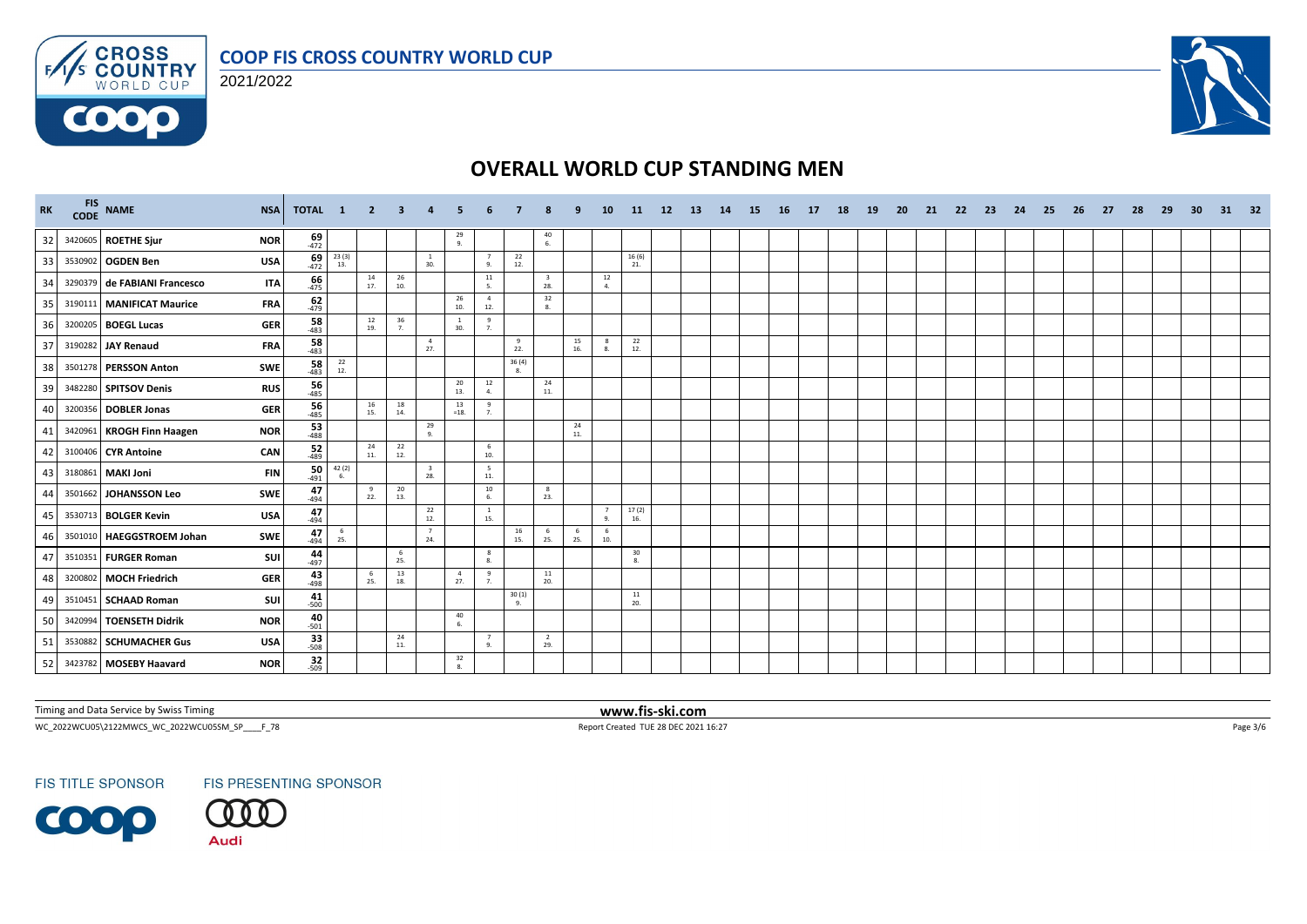



 $F/1/s$ 

6000



# **OVERALL WORLD CUP STANDING MEN**

| RK |         | FIS NAME<br><b>NSA</b>                     | TOTAL 1              |                                              | $\overline{2}$ | -3                                       |                                |                       |                       |                                          |                                         |                 | <b>10</b>            | <b>11</b>    | 12 | -13 | 14 | 15 | - 16 | 17 | 18 | <b>19</b> | <b>20</b> | 21 | -22 | -23 | 24 | -25 | 26 | 27 | 28 | 29 | 30 | 31 | - 32 |
|----|---------|--------------------------------------------|----------------------|----------------------------------------------|----------------|------------------------------------------|--------------------------------|-----------------------|-----------------------|------------------------------------------|-----------------------------------------|-----------------|----------------------|--------------|----|-----|----|----|------|----|----|-----------|-----------|----|-----|-----|----|-----|----|----|----|----|----|----|------|
| 32 |         | 3420605 ROETHE Sjur<br><b>NOR</b>          | $\frac{69}{472}$     |                                              |                |                                          |                                | $\frac{29}{9}$        |                       |                                          | $\begin{array}{c} 40 \\ 6. \end{array}$ |                 |                      |              |    |     |    |    |      |    |    |           |           |    |     |     |    |     |    |    |    |    |    |    |      |
| 33 |         | 3530902 OGDEN Ben<br><b>USA</b>            | $69 - 472$           | $\begin{array}{c} 23\ (3)\\ 13. \end{array}$ |                |                                          | <sup>1</sup><br>30.            |                       | 7<br>9.               | $\begin{array}{c} 22 \\ 12. \end{array}$ |                                         |                 |                      | 16(6)<br>21. |    |     |    |    |      |    |    |           |           |    |     |     |    |     |    |    |    |    |    |    |      |
| 34 |         | 3290379 de FABIANI Francesco<br><b>ITA</b> | $66$ <sub>-475</sub> |                                              | 14<br>17.      | 26<br>10.                                |                                |                       | 11<br>5.              |                                          | $\overline{\mathbf{3}}$<br>28.          |                 | 12<br>4.             |              |    |     |    |    |      |    |    |           |           |    |     |     |    |     |    |    |    |    |    |    |      |
| 35 |         | <b>FRA</b><br>3190111 MANIFICAT Maurice    | $62$<br>$479$        |                                              |                |                                          |                                | 26<br>10.             | $\overline{4}$<br>12. |                                          | $\frac{32}{8}$                          |                 |                      |              |    |     |    |    |      |    |    |           |           |    |     |     |    |     |    |    |    |    |    |    |      |
| 36 |         | 3200205 BOEGL Lucas<br><b>GER</b>          | $\frac{58}{483}$     |                                              | 12<br>19.      | 36<br>7.                                 |                                | <sup>1</sup><br>30.   | 9<br>7.               |                                          |                                         |                 |                      |              |    |     |    |    |      |    |    |           |           |    |     |     |    |     |    |    |    |    |    |    |      |
| 37 |         | <b>FRA</b><br>3190282 JAY Renaud           | $\frac{58}{483}$     |                                              |                |                                          | $\overline{4}$<br>27.          |                       |                       | 9<br>22.                                 |                                         | 15<br>16.       | -8<br>8.             | 22<br>12.    |    |     |    |    |      |    |    |           |           |    |     |     |    |     |    |    |    |    |    |    |      |
| 38 |         | 3501278 PERSSON Anton<br>SWE               | $\frac{58}{483}$     | $\begin{array}{c} 22 \\ 12. \end{array}$     |                |                                          |                                |                       |                       | 36(4)<br>8.                              |                                         |                 |                      |              |    |     |    |    |      |    |    |           |           |    |     |     |    |     |    |    |    |    |    |    |      |
| 39 |         | 3482280 SPITSOV Denis<br><b>RUS</b>        | $\frac{56}{485}$     |                                              |                |                                          |                                | 20<br>13.             | 12<br>4.              |                                          | 24<br>11.                               |                 |                      |              |    |     |    |    |      |    |    |           |           |    |     |     |    |     |    |    |    |    |    |    |      |
| 40 |         | 3200356 DOBLER Jonas<br><b>GER</b>         | $\frac{56}{485}$     |                                              | 16<br>15.      | 18<br>14.                                |                                | 13<br>$=18.$          | 9<br>$\overline{7}$   |                                          |                                         |                 |                      |              |    |     |    |    |      |    |    |           |           |    |     |     |    |     |    |    |    |    |    |    |      |
| 41 |         | 3420961 KROGH Finn Haagen<br><b>NOR</b>    | $\frac{53}{488}$     |                                              |                |                                          | 29<br>9.                       |                       |                       |                                          |                                         | 24<br>$\bf 11.$ |                      |              |    |     |    |    |      |    |    |           |           |    |     |     |    |     |    |    |    |    |    |    |      |
| 42 |         | 3100406 CYR Antoine<br>CAN                 | $\frac{52}{489}$     |                                              | 24<br>11.      | 22<br>12.                                |                                |                       | 6<br>10.              |                                          |                                         |                 |                      |              |    |     |    |    |      |    |    |           |           |    |     |     |    |     |    |    |    |    |    |    |      |
| 43 |         | 3180861 MAKI Joni<br><b>FIN</b>            | 50<br>$-491$         | 42 (2)<br>6.                                 |                |                                          | $\overline{\mathbf{3}}$<br>28. |                       | 5<br>11.              |                                          |                                         |                 |                      |              |    |     |    |    |      |    |    |           |           |    |     |     |    |     |    |    |    |    |    |    |      |
| 44 | 3501662 | JOHANSSON Leo<br>SWE                       | 47<br>$-494$         |                                              | 9<br>22.       | $\begin{array}{c} 20 \\ 13. \end{array}$ |                                |                       | 10<br>6.              |                                          | 8<br>23.                                |                 |                      |              |    |     |    |    |      |    |    |           |           |    |     |     |    |     |    |    |    |    |    |    |      |
| 45 |         | 3530713 BOLGER Kevin<br><b>USA</b>         | $47_{494}$           |                                              |                |                                          | 22<br>12.                      |                       | <sup>1</sup><br>15.   |                                          |                                         |                 | $\overline{7}$<br>9. | 17(2)<br>16. |    |     |    |    |      |    |    |           |           |    |     |     |    |     |    |    |    |    |    |    |      |
| 46 |         | 3501010 HAEGGSTROEM Johan<br><b>SWE</b>    | 47<br>$-494$         | $6\overline{6}$<br>25.                       |                |                                          | 7<br>24.                       |                       |                       | 16<br>15.                                | 6<br>25.                                | - 6<br>25.      | 6<br>10.             |              |    |     |    |    |      |    |    |           |           |    |     |     |    |     |    |    |    |    |    |    |      |
| 47 |         | 3510351 FURGER Roman<br>SUI                | $44$<br>$497$        |                                              |                | 6<br>25.                                 |                                |                       | 8<br>8.               |                                          |                                         |                 |                      | 30<br>8.     |    |     |    |    |      |    |    |           |           |    |     |     |    |     |    |    |    |    |    |    |      |
| 48 |         | 3200802 MOCH Friedrich<br><b>GER</b>       | $43$ <sub>498</sub>  |                                              | 6<br>25.       | 13<br>18.                                |                                | $\overline{4}$<br>27. | 9<br>7 <sub>1</sub>   |                                          | $11\,$<br>20.                           |                 |                      |              |    |     |    |    |      |    |    |           |           |    |     |     |    |     |    |    |    |    |    |    |      |
| 49 |         | SUI<br>3510451 SCHAAD Roman                | 41<br>$-500$         |                                              |                |                                          |                                |                       |                       | 30(1)<br>-9.                             |                                         |                 |                      | 11<br>20.    |    |     |    |    |      |    |    |           |           |    |     |     |    |     |    |    |    |    |    |    |      |
| 50 |         | 3420994 TOENSETH Didrik<br><b>NOR</b>      | $40 - 501$           |                                              |                |                                          |                                | 40<br>6.              |                       |                                          |                                         |                 |                      |              |    |     |    |    |      |    |    |           |           |    |     |     |    |     |    |    |    |    |    |    |      |
| 51 |         | 3530882 SCHUMACHER Gus<br><b>USA</b>       | $33 - 508$           |                                              |                | 24<br>11.                                |                                |                       | $\overline{7}$<br>9.  |                                          | $\overline{2}$<br>29.                   |                 |                      |              |    |     |    |    |      |    |    |           |           |    |     |     |    |     |    |    |    |    |    |    |      |
| 52 |         | <b>NOR</b><br>3423782 MOSEBY Haavard       | $\frac{32}{509}$     |                                              |                |                                          |                                | 32<br>8.              |                       |                                          |                                         |                 |                      |              |    |     |    |    |      |    |    |           |           |    |     |     |    |     |    |    |    |    |    |    |      |

Timing and Data Service by Swiss Timing **www.fis-ski.com**

WC\_2022WCU05\2122MWCS\_WC\_2022WCU05SM\_SP\_\_\_\_F\_78 Page 3/6 Report Created TUE 28 DEC 2021 16:27 Page 3/6

**FIS TITLE SPONSOR** 



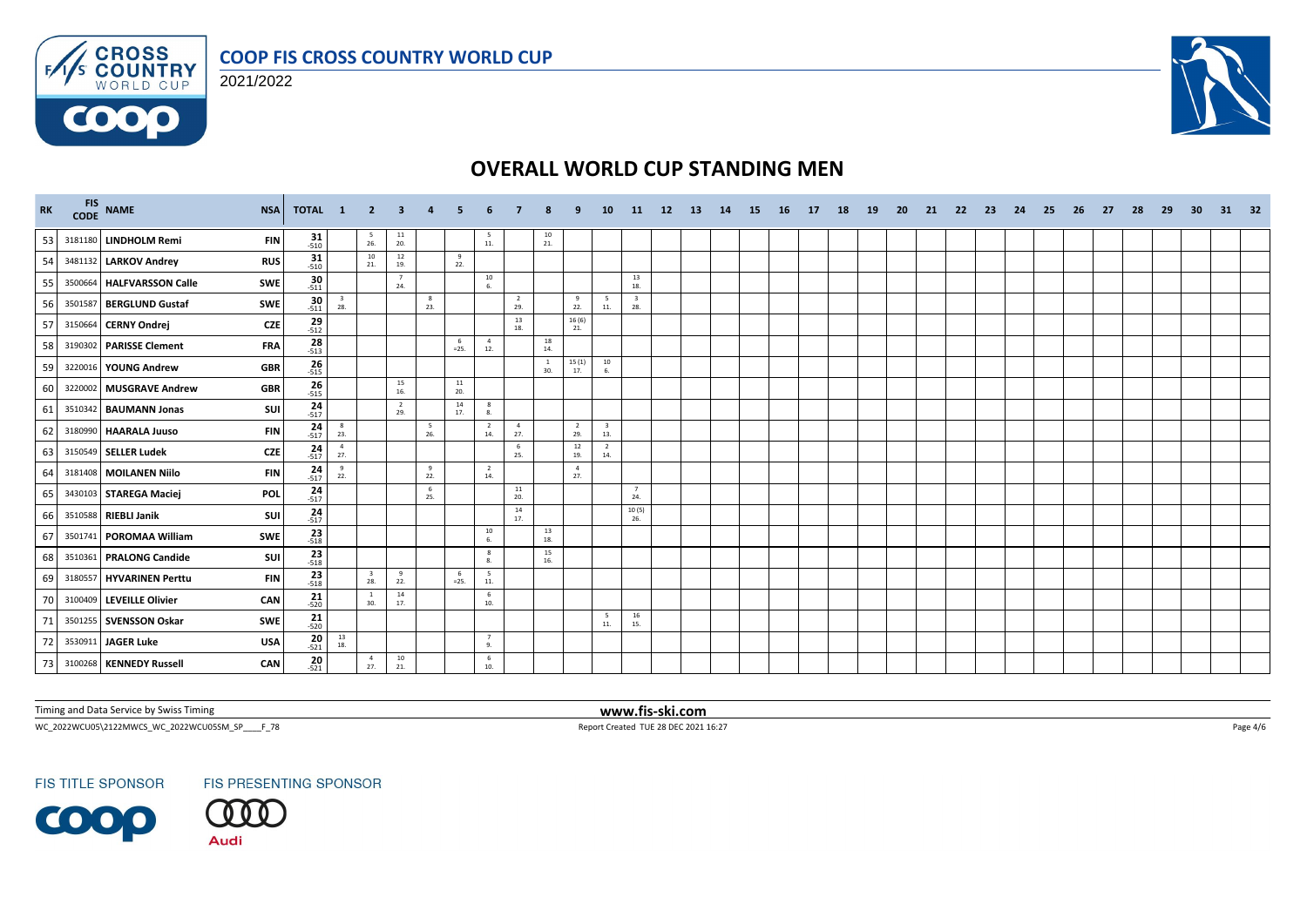



 $F/1/s$ 

6000



# **OVERALL WORLD CUP STANDING MEN**

| <b>RK</b> |         | FIS NAME<br><b>NSA</b>                   | TOTAL 1             |                                          | $\blacktriangle$ 2             | -3                                       |          |               |                       |                       |                                          |                       | <b>10</b>                      | -11                            | 12 <sup>2</sup> | -13 | 14 | 15 | - 16 | - 17 | 18 | <b>19</b> | -20 | 21 | -22 | -23 | -24 | -25 | -26 | -27 | -28 | -29 | 30 | 31 | 32 |
|-----------|---------|------------------------------------------|---------------------|------------------------------------------|--------------------------------|------------------------------------------|----------|---------------|-----------------------|-----------------------|------------------------------------------|-----------------------|--------------------------------|--------------------------------|-----------------|-----|----|----|------|------|----|-----------|-----|----|-----|-----|-----|-----|-----|-----|-----|-----|----|----|----|
| 53        |         | 3181180 LINDHOLM Remi<br><b>FIN</b>      | $31 - 510$          |                                          | $\frac{5}{26}$                 | $\begin{array}{c} 11 \\ 20. \end{array}$ |          |               | 5<br>11.              |                       | $\frac{10}{21}$                          |                       |                                |                                |                 |     |    |    |      |      |    |           |     |    |     |     |     |     |     |     |     |     |    |    |    |
| 54        |         | 3481132 LARKOV Andrey<br><b>RUS</b>      | $31 - 510$          |                                          | 10<br>21.                      | 12<br>19.                                |          | 9<br>22.      |                       |                       |                                          |                       |                                |                                |                 |     |    |    |      |      |    |           |     |    |     |     |     |     |     |     |     |     |    |    |    |
| 55        |         | 3500664 HALFVARSSON Calle<br>SWE         | $\frac{30}{-511}$   |                                          |                                | $\overline{7}$<br>24.                    |          |               | $10\,$<br>6.          |                       |                                          |                       |                                | 13<br>18.                      |                 |     |    |    |      |      |    |           |     |    |     |     |     |     |     |     |     |     |    |    |    |
| 56        |         | SWE<br>3501587 BERGLUND Gustaf           | $\frac{30}{-511}$   | $\frac{3}{28}$                           |                                |                                          | 8<br>23. |               |                       | $\overline{2}$<br>29. |                                          | 9<br>22.              | 5<br>11.                       | $\overline{\mathbf{3}}$<br>28. |                 |     |    |    |      |      |    |           |     |    |     |     |     |     |     |     |     |     |    |    |    |
| 57        |         | <b>CZE</b><br>3150664 CERNY Ondrej       | $29 - 512$          |                                          |                                |                                          |          |               |                       | 13<br>18.             |                                          | 16(6)<br>21.          |                                |                                |                 |     |    |    |      |      |    |           |     |    |     |     |     |     |     |     |     |     |    |    |    |
| 58        |         | 3190302 PARISSE Clement<br><b>FRA</b>    | $\frac{28}{513}$    |                                          |                                |                                          |          | -6<br>$=25.$  | $\overline{4}$<br>12. |                       | 18<br>14.                                |                       |                                |                                |                 |     |    |    |      |      |    |           |     |    |     |     |     |     |     |     |     |     |    |    |    |
| 59        |         | 3220016 YOUNG Andrew<br><b>GBR</b>       | $26 - 515$          |                                          |                                |                                          |          |               |                       |                       | <sup>1</sup><br>30.                      | 15(1)<br>17.          | 10<br>6.                       |                                |                 |     |    |    |      |      |    |           |     |    |     |     |     |     |     |     |     |     |    |    |    |
| 60        |         | 3220002 MUSGRAVE Andrew<br><b>GBR</b>    | $26 - 515$          |                                          |                                | 15<br>16.                                |          | 11<br>20.     |                       |                       |                                          |                       |                                |                                |                 |     |    |    |      |      |    |           |     |    |     |     |     |     |     |     |     |     |    |    |    |
| 61        |         | 3510342 BAUMANN Jonas<br>SUI             | $24$ <sub>517</sub> |                                          |                                | $\overline{2}$<br>29.                    |          | 14<br>17.     | 8<br>8.               |                       |                                          |                       |                                |                                |                 |     |    |    |      |      |    |           |     |    |     |     |     |     |     |     |     |     |    |    |    |
| 62        | 3180990 | <b>HAARALA Juuso</b><br><b>FIN</b>       | $24 - 517$          | $\frac{8}{23}$                           |                                |                                          | 5<br>26. |               | $\overline{2}$<br>14. | $\overline{4}$<br>27. |                                          | $\overline{2}$<br>29. | $\overline{\mathbf{3}}$<br>13. |                                |                 |     |    |    |      |      |    |           |     |    |     |     |     |     |     |     |     |     |    |    |    |
| 63        |         | 3150549 SELLER Ludek<br><b>CZE</b>       | $\frac{24}{-517}$   | $\overline{4}$<br>27.                    |                                |                                          |          |               |                       | - 6<br>25.            |                                          | 12<br>19.             | $\overline{2}$<br>14.          |                                |                 |     |    |    |      |      |    |           |     |    |     |     |     |     |     |     |     |     |    |    |    |
| 64        |         | 3181408 MOILANEN Niilo<br><b>FIN</b>     | $24 - 517$          | 9<br>22.                                 |                                |                                          | 9<br>22. |               | $\overline{2}$<br>14. |                       |                                          | $\overline{4}$<br>27. |                                |                                |                 |     |    |    |      |      |    |           |     |    |     |     |     |     |     |     |     |     |    |    |    |
| 65        |         | 3430103 STAREGA Maciej<br>POL            | $24 - 517$          |                                          |                                |                                          | 6<br>25. |               |                       | $11\,$<br>20.         |                                          |                       |                                | 7<br>24.                       |                 |     |    |    |      |      |    |           |     |    |     |     |     |     |     |     |     |     |    |    |    |
| 66        |         | 3510588 RIEBLI Janik<br>SUI              | $24 - 517$          |                                          |                                |                                          |          |               |                       | 14<br>17.             |                                          |                       |                                | 10(5)<br>26.                   |                 |     |    |    |      |      |    |           |     |    |     |     |     |     |     |     |     |     |    |    |    |
| 67        |         | 3501741 POROMAA William<br>SWE           | $23 - 518$          |                                          |                                |                                          |          |               | 10                    |                       | $\begin{array}{c} 13 \\ 18. \end{array}$ |                       |                                |                                |                 |     |    |    |      |      |    |           |     |    |     |     |     |     |     |     |     |     |    |    |    |
| 68        |         | SUI<br>3510361 PRALONG Candide           | $\frac{23}{518}$    |                                          |                                |                                          |          |               | 8<br>8.               |                       | 15<br>16.                                |                       |                                |                                |                 |     |    |    |      |      |    |           |     |    |     |     |     |     |     |     |     |     |    |    |    |
| 69        |         | 3180557   HYVARINEN Perttu<br><b>FIN</b> | $\frac{23}{-518}$   |                                          | $\overline{\mathbf{3}}$<br>28. | 9<br>22.                                 |          | - 6<br>$=25.$ | 5<br>$\bf 11.$        |                       |                                          |                       |                                |                                |                 |     |    |    |      |      |    |           |     |    |     |     |     |     |     |     |     |     |    |    |    |
| 70        |         | 3100409 LEVEILLE Olivier<br>CAN          | $21$ <sub>520</sub> |                                          | <sup>1</sup><br>30.            | 14<br>17.                                |          |               | 6<br>10.              |                       |                                          |                       |                                |                                |                 |     |    |    |      |      |    |           |     |    |     |     |     |     |     |     |     |     |    |    |    |
| 71        |         | SWE<br>3501255 SVENSSON Oskar            | $\frac{21}{-520}$   |                                          |                                |                                          |          |               |                       |                       |                                          |                       | 5<br>11.                       | 16<br>15.                      |                 |     |    |    |      |      |    |           |     |    |     |     |     |     |     |     |     |     |    |    |    |
| 72        |         | 3530911 JAGER Luke<br><b>USA</b>         | $20 - 521$          | $\begin{array}{c} 13 \\ 18. \end{array}$ |                                |                                          |          |               | 7<br>9.               |                       |                                          |                       |                                |                                |                 |     |    |    |      |      |    |           |     |    |     |     |     |     |     |     |     |     |    |    |    |
| 73        |         | 3100268 KENNEDY Russell<br>CAN           | 20<br>$-521$        |                                          | $\overline{4}$<br>27.          | 10<br>21.                                |          |               | 6<br>10.              |                       |                                          |                       |                                |                                |                 |     |    |    |      |      |    |           |     |    |     |     |     |     |     |     |     |     |    |    |    |

Timing and Data Service by Swiss Timing **www.fis-ski.com**

WC\_2022WCU05\2122MWCS\_WC\_2022WCU05SM\_SP\_\_\_\_F\_78 Page 4/6 Report Created TUE 28 DEC 2021 16:27 Page 4/6

**FIS TITLE SPONSOR** 

**FIS PRESENTING SPONSOR** 

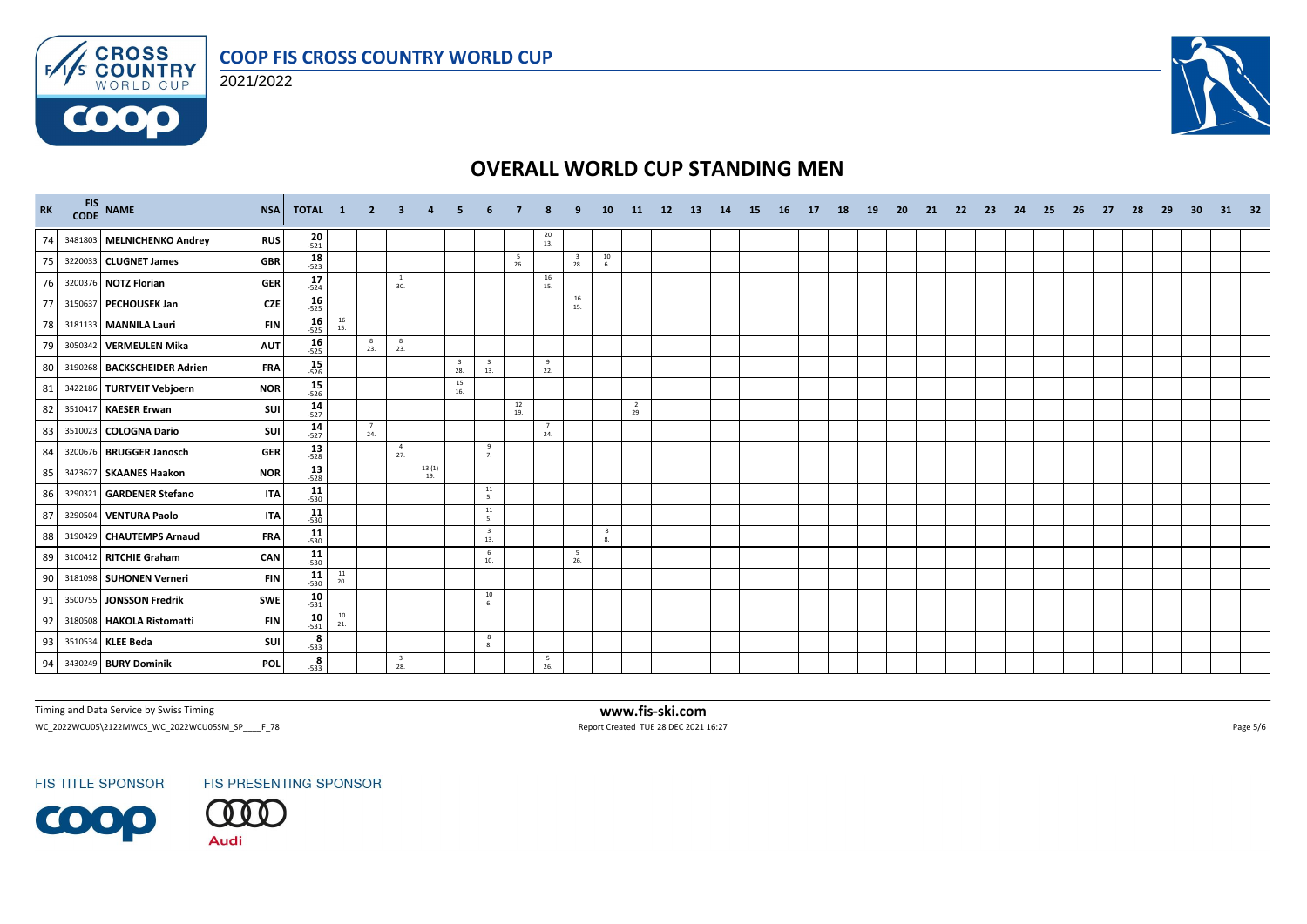





# **OVERALL WORLD CUP STANDING MEN**

| <b>RK</b> |         | FIS NAME<br><b>NSA</b>                |            | <b>TOTAL 1 2 3</b>              |                   |                                | 4            | -5        |                                |           |                                         |                                | <b>10</b>                               | <b>11</b>             | <b>12</b> | - 13 | 14 | - 15 | 16 | 17 | 18 | <b>19</b> | 20 | 21 | 22 | - 23 | -24 | - 25 | -26 | -27 | - 28 | -29 | -30 | 31 | - 32 |
|-----------|---------|---------------------------------------|------------|---------------------------------|-------------------|--------------------------------|--------------|-----------|--------------------------------|-----------|-----------------------------------------|--------------------------------|-----------------------------------------|-----------------------|-----------|------|----|------|----|----|----|-----------|----|----|----|------|-----|------|-----|-----|------|-----|-----|----|------|
| 74        |         | 3481803 MELNICHENKO Andrey            | <b>RUS</b> | $20 - 521$                      |                   |                                |              |           |                                |           | $\begin{array}{c} 20 \\ 13 \end{array}$ |                                |                                         |                       |           |      |    |      |    |    |    |           |    |    |    |      |     |      |     |     |      |     |     |    |      |
|           |         | 3220033 CLUGNET James                 | <b>GBR</b> | 18<br>$-523$                    |                   |                                |              |           |                                | 5<br>26.  |                                         | $\overline{\mathbf{3}}$<br>28. | $\begin{array}{c} 10 \\ 6. \end{array}$ |                       |           |      |    |      |    |    |    |           |    |    |    |      |     |      |     |     |      |     |     |    |      |
|           |         | 3200376 NOTZ Florian                  | <b>GER</b> | 17<br>$-524$                    |                   | -1<br>30.                      |              |           |                                |           | 16<br>15.                               |                                |                                         |                       |           |      |    |      |    |    |    |           |    |    |    |      |     |      |     |     |      |     |     |    |      |
| 77        |         | 3150637 PECHOUSEK Jan                 | <b>CZE</b> | $16 - 525$                      |                   |                                |              |           |                                |           |                                         | 16<br>15.                      |                                         |                       |           |      |    |      |    |    |    |           |    |    |    |      |     |      |     |     |      |     |     |    |      |
| 7         |         | 3181133 MANNILA Lauri                 | <b>FIN</b> | $\frac{16}{-525}$<br>16<br>15.  |                   |                                |              |           |                                |           |                                         |                                |                                         |                       |           |      |    |      |    |    |    |           |    |    |    |      |     |      |     |     |      |     |     |    |      |
| 79        |         | 3050342 VERMEULEN Mika<br><b>AUT</b>  |            | $16 - 525$                      | $_{\rm 8}$<br>23. | 8<br>23.                       |              |           |                                |           |                                         |                                |                                         |                       |           |      |    |      |    |    |    |           |    |    |    |      |     |      |     |     |      |     |     |    |      |
| 80        |         | 3190268 BACKSCHEIDER Adrien           | <b>FRA</b> | $15 - 526$                      |                   |                                |              | 28.       | $\overline{\mathbf{3}}$<br>13. |           | -9<br>22.                               |                                |                                         |                       |           |      |    |      |    |    |    |           |    |    |    |      |     |      |     |     |      |     |     |    |      |
| 81        |         | 3422186 TURTVEIT Vebjoern             | <b>NOR</b> | $\frac{15}{-526}$               |                   |                                |              | 15<br>16. |                                |           |                                         |                                |                                         |                       |           |      |    |      |    |    |    |           |    |    |    |      |     |      |     |     |      |     |     |    |      |
| 82        |         | 3510417 KAESER Erwan                  | <b>SUI</b> | 14<br>$-527$                    |                   |                                |              |           |                                | 12<br>19. |                                         |                                |                                         | $\overline{2}$<br>29. |           |      |    |      |    |    |    |           |    |    |    |      |     |      |     |     |      |     |     |    |      |
| 83        |         | 3510023 COLOGNA Dario                 | <b>SUI</b> | 14<br>$-527$                    | 7<br>24.          |                                |              |           |                                |           | $\overline{7}$<br>24.                   |                                |                                         |                       |           |      |    |      |    |    |    |           |    |    |    |      |     |      |     |     |      |     |     |    |      |
| 84        |         | 3200676 BRUGGER Janosch               | <b>GER</b> | $13 - 528$                      |                   | $\overline{4}$<br>27.          |              |           | 9<br>7.                        |           |                                         |                                |                                         |                       |           |      |    |      |    |    |    |           |    |    |    |      |     |      |     |     |      |     |     |    |      |
| 85        |         | <b>NOR</b><br>3423627 SKAANES Haakon  |            | $\frac{13}{-528}$               |                   |                                | 13(1)<br>19. |           |                                |           |                                         |                                |                                         |                       |           |      |    |      |    |    |    |           |    |    |    |      |     |      |     |     |      |     |     |    |      |
| 86        | 3290321 | <b>GARDENER Stefano</b>               | <b>ITA</b> | $11$<br>-530                    |                   |                                |              |           | 11<br>5.                       |           |                                         |                                |                                         |                       |           |      |    |      |    |    |    |           |    |    |    |      |     |      |     |     |      |     |     |    |      |
| 87        |         | 3290504 VENTURA Paolo                 | <b>ITA</b> | $11$ <sub>-530</sub>            |                   |                                |              |           | 11<br>5.                       |           |                                         |                                |                                         |                       |           |      |    |      |    |    |    |           |    |    |    |      |     |      |     |     |      |     |     |    |      |
| 88        |         | 3190429 CHAUTEMPS Arnaud              | <b>FRA</b> | 11<br>$-530$                    |                   |                                |              |           | $\overline{\mathbf{3}}$<br>13. |           |                                         |                                | -8<br>8.                                |                       |           |      |    |      |    |    |    |           |    |    |    |      |     |      |     |     |      |     |     |    |      |
| 89        |         | 3100412 RITCHIE Graham                | <b>CAN</b> | $11$ <sub>-530</sub>            |                   |                                |              |           | 6<br>10.                       |           |                                         | 5<br>26.                       |                                         |                       |           |      |    |      |    |    |    |           |    |    |    |      |     |      |     |     |      |     |     |    |      |
| 90        |         | 3181098 SUHONEN Verneri               | <b>FIN</b> | $\frac{11}{20}$<br>$11$<br>-530 |                   |                                |              |           |                                |           |                                         |                                |                                         |                       |           |      |    |      |    |    |    |           |    |    |    |      |     |      |     |     |      |     |     |    |      |
| 91        |         | <b>SWE</b><br>3500755 JONSSON Fredrik |            | 10<br>$-531$                    |                   |                                |              |           | 10<br>6.                       |           |                                         |                                |                                         |                       |           |      |    |      |    |    |    |           |    |    |    |      |     |      |     |     |      |     |     |    |      |
| 92        |         | 3180508 HAKOLA Ristomatti             | <b>FIN</b> | $10 - 531$<br>$\frac{10}{21}$   |                   |                                |              |           |                                |           |                                         |                                |                                         |                       |           |      |    |      |    |    |    |           |    |    |    |      |     |      |     |     |      |     |     |    |      |
| 93        |         | 3510534 KLEE Beda                     | sui        | $\frac{8}{-533}$                |                   |                                |              |           | 8<br>8.                        |           |                                         |                                |                                         |                       |           |      |    |      |    |    |    |           |    |    |    |      |     |      |     |     |      |     |     |    |      |
| 94        |         | 3430249 BURY Dominik<br>POL           |            | 8<br>$-533$                     |                   | $\overline{\mathbf{3}}$<br>28. |              |           |                                |           | 5<br>26.                                |                                |                                         |                       |           |      |    |      |    |    |    |           |    |    |    |      |     |      |     |     |      |     |     |    |      |

Timing and Data Service by Swiss Timing **www.fis-ski.com**

WC\_2022WCU05\2122MWCS\_WC\_2022WCU05SM\_SP\_\_\_\_F\_78 Page 5/6 Report Created TUE 28 DEC 2021 16:27 Page 5/6

**FIS TITLE SPONSOR**